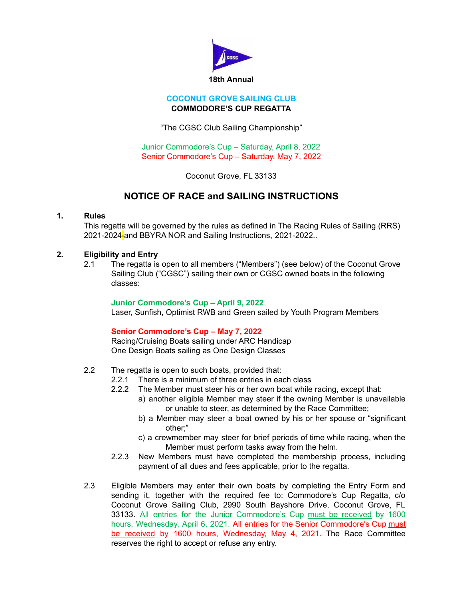

### **COCONUT GROVE SAILING CLUB COMMODORE'S CUP REGATTA**

"The CGSC Club Sailing Championship"

Junior Commodore's Cup – Saturday, April 8, 2022 Senior Commodore's Cup – Saturday, May 7, 2022

Coconut Grove, FL 33133

# **NOTICE OF RACE and SAILING INSTRUCTIONS**

## **1. Rules**

This regatta will be governed by the rules as defined in The Racing Rules of Sailing (RRS) 2021-2024<sup>-</sup> and BBYRA NOR and Sailing Instructions, 2021-2022...

## **2. Eligibility and Entry**

2.1 The regatta is open to all members ("Members") (see below) of the Coconut Grove Sailing Club ("CGSC") sailing their own or CGSC owned boats in the following classes:

#### **Junior Commodore's Cup – April 9, 2022**

Laser, Sunfish, Optimist RWB and Green sailed by Youth Program Members

## **Senior Commodore's Cup – May 7, 2022**

Racing/Cruising Boats sailing under ARC Handicap One Design Boats sailing as One Design Classes

- 2.2 The regatta is open to such boats, provided that:
	- 2.2.1 There is a minimum of three entries in each class
	- 2.2.2 The Member must steer his or her own boat while racing, except that:
		- a) another eligible Member may steer if the owning Member is unavailable or unable to steer, as determined by the Race Committee;
			- b) a Member may steer a boat owned by his or her spouse or "significant other;"
			- c) a crewmember may steer for brief periods of time while racing, when the Member must perform tasks away from the helm.
	- 2.2.3 New Members must have completed the membership process, including payment of all dues and fees applicable, prior to the regatta.
- 2.3 Eligible Members may enter their own boats by completing the Entry Form and sending it, together with the required fee to: Commodore's Cup Regatta, c/o Coconut Grove Sailing Club, 2990 South Bayshore Drive, Coconut Grove, FL 33133. All entries for the Junior Commodore's Cup must be received by 1600 hours, Wednesday, April 6, 2021. All entries for the Senior Commodore's Cup must be received by 1600 hours, Wednesday, May 4, 2021. The Race Committee reserves the right to accept or refuse any entry.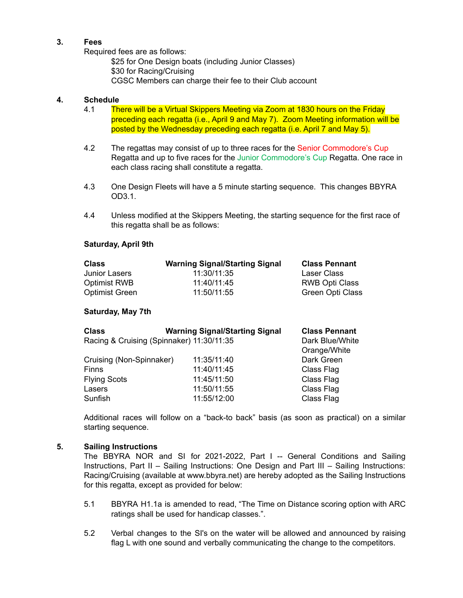## **3. Fees**

Required fees are as follows:

\$25 for One Design boats (including Junior Classes) \$30 for Racing/Cruising CGSC Members can charge their fee to their Club account

# **4. Schedule**

- 4.1 There will be a Virtual Skippers Meeting via Zoom at 1830 hours on the Friday preceding each regatta (i.e., April 9 and May 7). Zoom Meeting information will be posted by the Wednesday preceding each regatta (i.e. April 7 and May 5).
- 4.2 The regattas may consist of up to three races for the Senior Commodore's Cup Regatta and up to five races for the Junior Commodore's Cup Regatta. One race in each class racing shall constitute a regatta.
- 4.3 One Design Fleets will have a 5 minute starting sequence. This changes BBYRA OD3.1.
- 4.4 Unless modified at the Skippers Meeting, the starting sequence for the first race of this regatta shall be as follows:

#### **Saturday, April 9th**

| <b>Class</b>          | <b>Warning Signal/Starting Signal</b> | <b>Class Pennant</b>    |
|-----------------------|---------------------------------------|-------------------------|
| Junior Lasers         | 11:30/11:35                           | Laser Class             |
| <b>Optimist RWB</b>   | 11:40/11:45                           | <b>RWB Opti Class</b>   |
| <b>Optimist Green</b> | 11:50/11:55                           | <b>Green Opti Class</b> |

#### **Saturday, May 7th**

| <b>Class</b>                              | <b>Warning Signal/Starting Signal</b> | <b>Class Pennant</b> |
|-------------------------------------------|---------------------------------------|----------------------|
| Racing & Cruising (Spinnaker) 11:30/11:35 | Dark Blue/White                       |                      |
|                                           |                                       | Orange/White         |
| Cruising (Non-Spinnaker)                  | 11:35/11:40                           | Dark Green           |
| <b>Finns</b>                              | 11:40/11:45                           | Class Flag           |
| <b>Flying Scots</b>                       | 11:45/11:50                           | Class Flag           |
| Lasers                                    | 11:50/11:55                           | Class Flag           |
| Sunfish                                   | 11:55/12:00                           | Class Flag           |

Additional races will follow on a "back-to back" basis (as soon as practical) on a similar starting sequence.

#### **5. Sailing Instructions**

The BBYRA NOR and SI for 2021-2022, Part I -- General Conditions and Sailing Instructions, Part II – Sailing Instructions: One Design and Part III – Sailing Instructions: Racing/Cruising (available at www.bbyra.net) are hereby adopted as the Sailing Instructions for this regatta, except as provided for below:

- 5.1 BBYRA H1.1a is amended to read, "The Time on Distance scoring option with ARC ratings shall be used for handicap classes.".
- 5.2 Verbal changes to the SI's on the water will be allowed and announced by raising flag L with one sound and verbally communicating the change to the competitors.